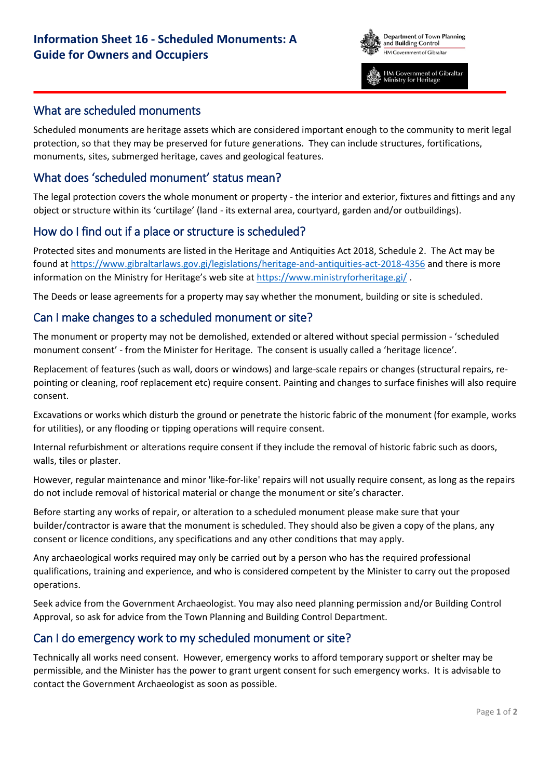**Department of Town Planning** and Building Control HM Government of Gibraltar

HM Government of Gibraltar<br>Ministry for Heritage

### What are scheduled monuments

Scheduled monuments are heritage assets which are considered important enough to the community to merit legal protection, so that they may be preserved for future generations. They can include structures, fortifications, monuments, sites, submerged heritage, caves and geological features.

### What does 'scheduled monument' status mean?

The legal protection covers the whole monument or property - the interior and exterior, fixtures and fittings and any object or structure within its 'curtilage' (land - its external area, courtyard, garden and/or outbuildings).

## How do I find out if a place or structure is scheduled?

Protected sites and monuments are listed in the Heritage and Antiquities Act 2018, Schedule 2. The Act may be found at<https://www.gibraltarlaws.gov.gi/legislations/heritage-and-antiquities-act-2018-4356>and there is more information on the Ministry for Heritage's web site at https://www.ministryforheritage.gi/.

The Deeds or lease agreements for a property may say whether the monument, building or site is scheduled.

### Can I make changes to a scheduled monument or site?

The monument or property may not be demolished, extended or altered without special permission - 'scheduled monument consent' - from the Minister for Heritage. The consent is usually called a 'heritage licence'.

Replacement of features (such as wall, doors or windows) and large-scale repairs or changes (structural repairs, repointing or cleaning, roof replacement etc) require consent. Painting and changes to surface finishes will also require consent.

Excavations or works which disturb the ground or penetrate the historic fabric of the monument (for example, works for utilities), or any flooding or tipping operations will require consent.

Internal refurbishment or alterations require consent if they include the removal of historic fabric such as doors, walls, tiles or plaster.

However, regular maintenance and minor 'like-for-like' repairs will not usually require consent, as long as the repairs do not include removal of historical material or change the monument or site's character.

Before starting any works of repair, or alteration to a scheduled monument please make sure that your builder/contractor is aware that the monument is scheduled. They should also be given a copy of the plans, any consent or licence conditions, any specifications and any other conditions that may apply.

Any archaeological works required may only be carried out by a person who has the required professional qualifications, training and experience, and who is considered competent by the Minister to carry out the proposed operations.

Seek advice from the Government Archaeologist. You may also need planning permission and/or Building Control Approval, so ask for advice from the Town Planning and Building Control Department.

#### Can I do emergency work to my scheduled monument or site?

Technically all works need consent. However, emergency works to afford temporary support or shelter may be permissible, and the Minister has the power to grant urgent consent for such emergency works. It is advisable to contact the Government Archaeologist as soon as possible.